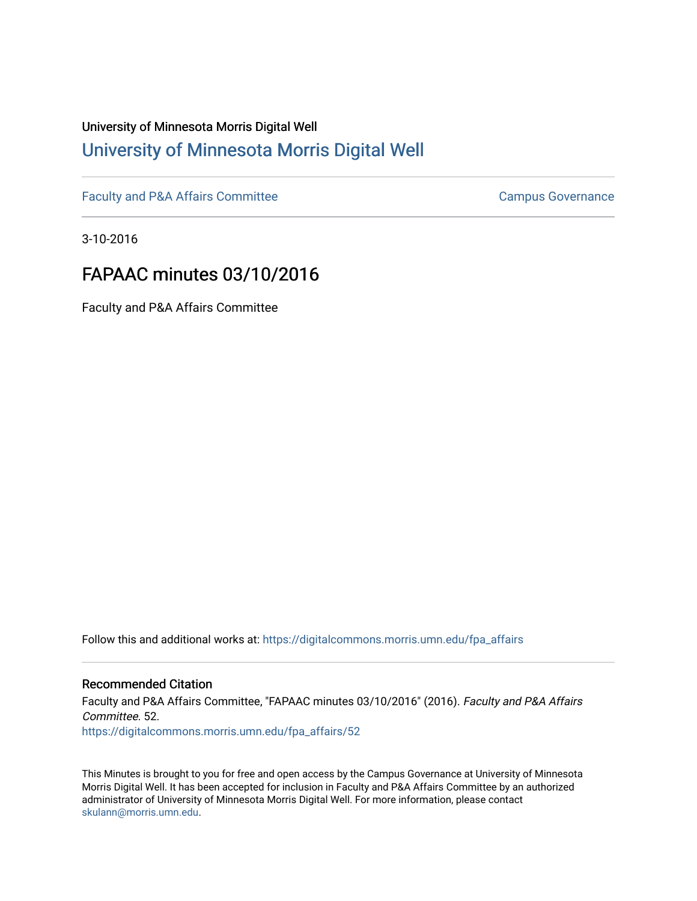## University of Minnesota Morris Digital Well [University of Minnesota Morris Digital Well](https://digitalcommons.morris.umn.edu/)

[Faculty and P&A Affairs Committee](https://digitalcommons.morris.umn.edu/fpa_affairs) [Campus Governance](https://digitalcommons.morris.umn.edu/campgov) Campus Governance

3-10-2016

## FAPAAC minutes 03/10/2016

Faculty and P&A Affairs Committee

Follow this and additional works at: [https://digitalcommons.morris.umn.edu/fpa\\_affairs](https://digitalcommons.morris.umn.edu/fpa_affairs?utm_source=digitalcommons.morris.umn.edu%2Ffpa_affairs%2F52&utm_medium=PDF&utm_campaign=PDFCoverPages)

## Recommended Citation

Faculty and P&A Affairs Committee, "FAPAAC minutes 03/10/2016" (2016). Faculty and P&A Affairs Committee. 52. [https://digitalcommons.morris.umn.edu/fpa\\_affairs/52](https://digitalcommons.morris.umn.edu/fpa_affairs/52?utm_source=digitalcommons.morris.umn.edu%2Ffpa_affairs%2F52&utm_medium=PDF&utm_campaign=PDFCoverPages) 

This Minutes is brought to you for free and open access by the Campus Governance at University of Minnesota Morris Digital Well. It has been accepted for inclusion in Faculty and P&A Affairs Committee by an authorized administrator of University of Minnesota Morris Digital Well. For more information, please contact [skulann@morris.umn.edu.](mailto:skulann@morris.umn.edu)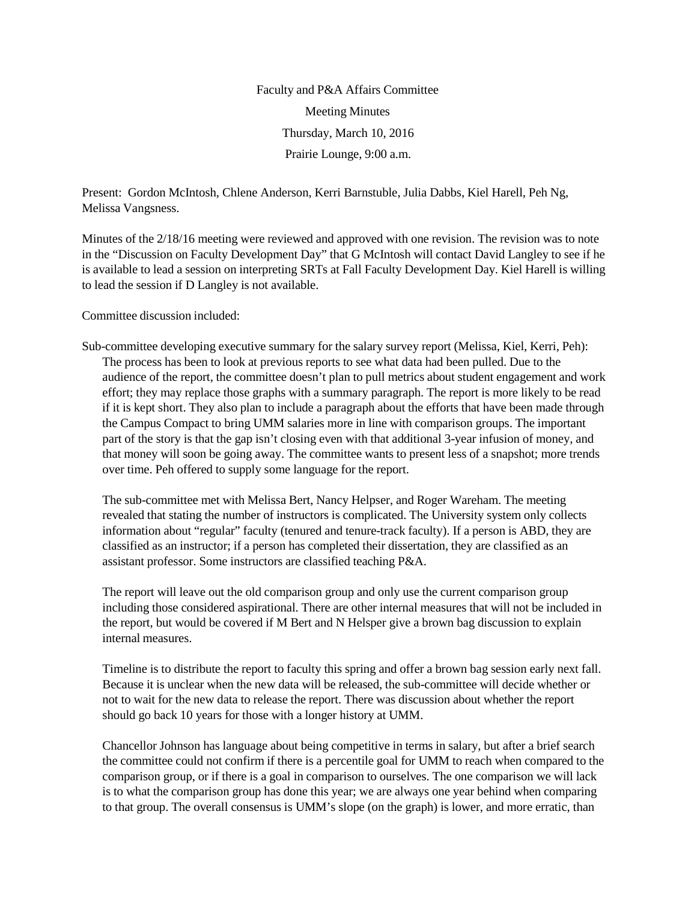Faculty and P&A Affairs Committee Meeting Minutes Thursday, March 10, 2016 Prairie Lounge, 9:00 a.m.

Present: Gordon McIntosh, Chlene Anderson, Kerri Barnstuble, Julia Dabbs, Kiel Harell, Peh Ng, Melissa Vangsness.

Minutes of the 2/18/16 meeting were reviewed and approved with one revision. The revision was to note in the "Discussion on Faculty Development Day" that G McIntosh will contact David Langley to see if he is available to lead a session on interpreting SRTs at Fall Faculty Development Day. Kiel Harell is willing to lead the session if D Langley is not available.

Committee discussion included:

Sub-committee developing executive summary for the salary survey report (Melissa, Kiel, Kerri, Peh): The process has been to look at previous reports to see what data had been pulled. Due to the audience of the report, the committee doesn't plan to pull metrics about student engagement and work effort; they may replace those graphs with a summary paragraph. The report is more likely to be read if it is kept short. They also plan to include a paragraph about the efforts that have been made through the Campus Compact to bring UMM salaries more in line with comparison groups. The important part of the story is that the gap isn't closing even with that additional 3-year infusion of money, and that money will soon be going away. The committee wants to present less of a snapshot; more trends over time. Peh offered to supply some language for the report.

The sub-committee met with Melissa Bert, Nancy Helpser, and Roger Wareham. The meeting revealed that stating the number of instructors is complicated. The University system only collects information about "regular" faculty (tenured and tenure-track faculty). If a person is ABD, they are classified as an instructor; if a person has completed their dissertation, they are classified as an assistant professor. Some instructors are classified teaching P&A.

The report will leave out the old comparison group and only use the current comparison group including those considered aspirational. There are other internal measures that will not be included in the report, but would be covered if M Bert and N Helsper give a brown bag discussion to explain internal measures.

Timeline is to distribute the report to faculty this spring and offer a brown bag session early next fall. Because it is unclear when the new data will be released, the sub-committee will decide whether or not to wait for the new data to release the report. There was discussion about whether the report should go back 10 years for those with a longer history at UMM.

Chancellor Johnson has language about being competitive in terms in salary, but after a brief search the committee could not confirm if there is a percentile goal for UMM to reach when compared to the comparison group, or if there is a goal in comparison to ourselves. The one comparison we will lack is to what the comparison group has done this year; we are always one year behind when comparing to that group. The overall consensus is UMM's slope (on the graph) is lower, and more erratic, than